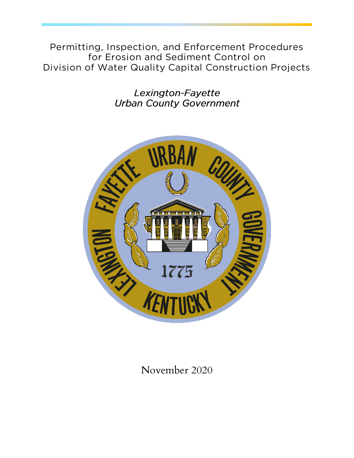**Permitting, Inspection, and Enforcement Procedures for Erosion and Sediment Control on Division of Water Quality Capital Construction Projects**

> Lexington-Fayette **Urban County Government**



November 2020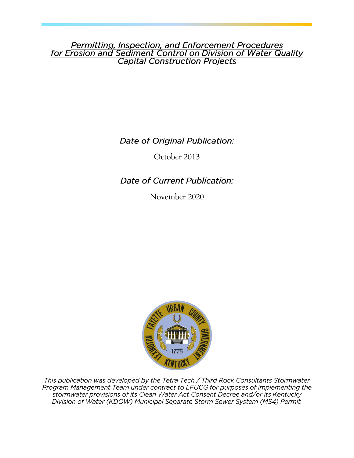Permitting, Inspection, and Enforcement Procedures<br>for Erosion and Sediment Control on Division of Water Quality **Capital Construction Projects** 

Date of Original Publication:

October 2013

Date of Current Publication:

November 2020



This publication was developed by the Tetra Tech / Third Rock Consultants Stormwater<br>Program Management Team under contract to LFUCG for purposes of implementing the<br>stormwater provisions of its Clean Water Act Consent Dec Division of Water (KDOW) Municipal Separate Storm Sewer System (MS4) Permit.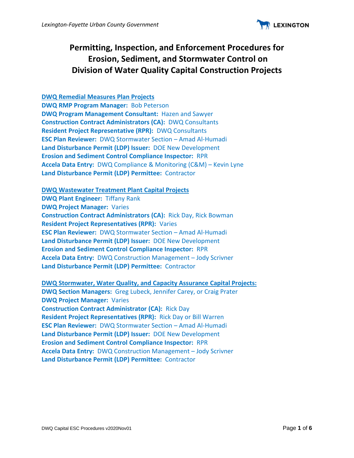

# **Permitting, Inspection, and Enforcement Procedures for Erosion, Sediment, and Stormwater Control on Division of Water Quality Capital Construction Projects**

### **DWQ Remedial Measures Plan Projects**

**DWQ RMP Program Manager:** Bob Peterson **DWQ Program Management Consultant:** Hazen and Sawyer **Construction Contract Administrators (CA):** DWQ Consultants **Resident Project Representative (RPR):** DWQ Consultants **ESC Plan Reviewer:** DWQ Stormwater Section – Amad Al-Humadi **Land Disturbance Permit (LDP) Issuer:** DOE New Development **Erosion and Sediment Control Compliance Inspector:** RPR **Accela Data Entry:** DWQ Compliance & Monitoring (C&M) – Kevin Lyne **Land Disturbance Permit (LDP) Permittee:** Contractor

### **DWQ Wastewater Treatment Plant Capital Projects**

**DWQ Plant Engineer:** Tiffany Rank **DWQ Project Manager:** Varies **Construction Contract Administrators (CA):** Rick Day, Rick Bowman **Resident Project Representatives (RPR):** Varies **ESC Plan Reviewer:** DWQ Stormwater Section – Amad Al-Humadi **Land Disturbance Permit (LDP) Issuer:** DOE New Development **Erosion and Sediment Control Compliance Inspector:** RPR **Accela Data Entry:** DWQ Construction Management – Jody Scrivner **Land Disturbance Permit (LDP) Permittee:** Contractor

### **DWQ Stormwater, Water Quality, and Capacity Assurance Capital Projects:**

**DWQ Section Managers:** Greg Lubeck, Jennifer Carey, or Craig Prater **DWQ Project Manager:** Varies **Construction Contract Administrator (CA):** Rick Day **Resident Project Representatives (RPR):** Rick Day or Bill Warren **ESC Plan Reviewer:** DWQ Stormwater Section – Amad Al-Humadi **Land Disturbance Permit (LDP) Issuer:** DOE New Development **Erosion and Sediment Control Compliance Inspector:** RPR **Accela Data Entry:** DWQ Construction Management – Jody Scrivner **Land Disturbance Permit (LDP) Permittee:** Contractor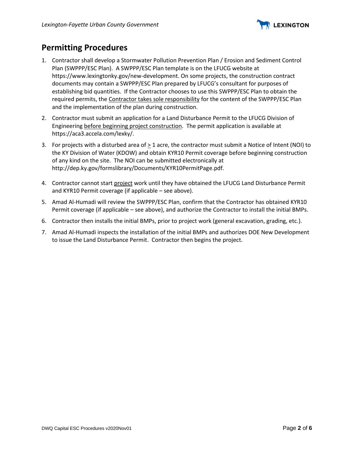

### **Permitting Procedures**

- 1. Contractor shall develop a Stormwater Pollution Prevention Plan / Erosion and Sediment Control Plan (SWPPP/ESC Plan). A SWPPP/ESC Plan template is on the LFUCG website at https://www.lexingtonky.gov/new-development. On some projects, the construction contract documents may contain a SWPPP/ESC Plan prepared by LFUCG's consultant for purposes of establishing bid quantities. If the Contractor chooses to use this SWPPP/ESC Plan to obtain the required permits, the Contractor takes sole responsibility for the content of the SWPPP/ESC Plan and the implementation of the plan during construction.
- 2. Contractor must submit an application for a Land Disturbance Permit to the LFUCG Division of Engineering before beginning project construction. The permit application is available at https://aca3.accela.com/lexky/.
- 3. For projects with a disturbed area of  $\geq 1$  acre, the contractor must submit a Notice of Intent (NOI) to the KY Division of Water (KDOW) and obtain KYR10 Permit coverage before beginning construction of any kind on the site. The NOI can be submitted electronically at http://dep.ky.gov/formslibrary/Documents/KYR10PermitPage.pdf.
- 4. Contractor cannot start project work until they have obtained the LFUCG Land Disturbance Permit and KYR10 Permit coverage (if applicable – see above).
- 5. Amad Al-Humadi will review the SWPPP/ESC Plan, confirm that the Contractor has obtained KYR10 Permit coverage (if applicable – see above), and authorize the Contractor to install the initial BMPs.
- 6. Contractor then installs the initial BMPs, prior to project work (general excavation, grading, etc.).
- 7. Amad Al-Humadi inspects the installation of the initial BMPs and authorizes DOE New Development to issue the Land Disturbance Permit. Contractor then begins the project.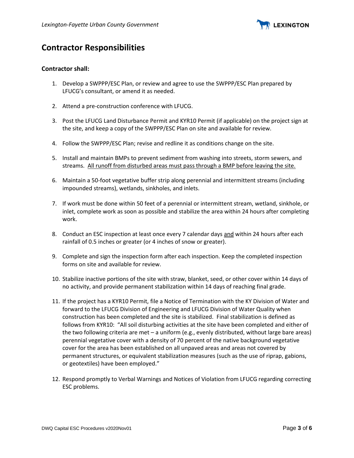

## **Contractor Responsibilities**

### **Contractor shall:**

- 1. Develop a SWPPP/ESC Plan, or review and agree to use the SWPPP/ESC Plan prepared by LFUCG's consultant, or amend it as needed.
- 2. Attend a pre-construction conference with LFUCG.
- 3. Post the LFUCG Land Disturbance Permit and KYR10 Permit (if applicable) on the project sign at the site, and keep a copy of the SWPPP/ESC Plan on site and available for review.
- 4. Follow the SWPPP/ESC Plan; revise and redline it as conditions change on the site.
- 5. Install and maintain BMPs to prevent sediment from washing into streets, storm sewers, and streams. All runoff from disturbed areas must pass through a BMP before leaving the site.
- 6. Maintain a 50-foot vegetative buffer strip along perennial and intermittent streams (including impounded streams), wetlands, sinkholes, and inlets.
- 7. If work must be done within 50 feet of a perennial or intermittent stream, wetland, sinkhole, or inlet, complete work as soon as possible and stabilize the area within 24 hours after completing work.
- 8. Conduct an ESC inspection at least once every 7 calendar days and within 24 hours after each rainfall of 0.5 inches or greater (or 4 inches of snow or greater).
- 9. Complete and sign the inspection form after each inspection. Keep the completed inspection forms on site and available for review.
- 10. Stabilize inactive portions of the site with straw, blanket, seed, or other cover within 14 days of no activity, and provide permanent stabilization within 14 days of reaching final grade.
- 11. If the project has a KYR10 Permit, file a Notice of Termination with the KY Division of Water and forward to the LFUCG Division of Engineering and LFUCG Division of Water Quality when construction has been completed and the site is stabilized. Final stabilization is defined as follows from KYR10: "All soil disturbing activities at the site have been completed and either of the two following criteria are met – a uniform (e.g., evenly distributed, without large bare areas) perennial vegetative cover with a density of 70 percent of the native background vegetative cover for the area has been established on all unpaved areas and areas not covered by permanent structures, or equivalent stabilization measures (such as the use of riprap, gabions, or geotextiles) have been employed."
- 12. Respond promptly to Verbal Warnings and Notices of Violation from LFUCG regarding correcting ESC problems.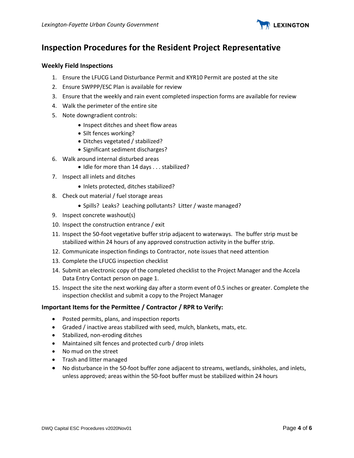

### **Inspection Procedures for the Resident Project Representative**

### **Weekly Field Inspections**

- 1. Ensure the LFUCG Land Disturbance Permit and KYR10 Permit are posted at the site
- 2. Ensure SWPPP/ESC Plan is available for review
- 3. Ensure that the weekly and rain event completed inspection forms are available for review
- 4. Walk the perimeter of the entire site
- 5. Note downgradient controls:
	- Inspect ditches and sheet flow areas
	- Silt fences working?
	- Ditches vegetated / stabilized?
	- Significant sediment discharges?
- 6. Walk around internal disturbed areas
	- Idle for more than 14 days . . . stabilized?
- 7. Inspect all inlets and ditches
	- Inlets protected, ditches stabilized?
- 8. Check out material / fuel storage areas
	- Spills? Leaks? Leaching pollutants? Litter / waste managed?
- 9. Inspect concrete washout(s)
- 10. Inspect the construction entrance / exit
- 11. Inspect the 50-foot vegetative buffer strip adjacent to waterways. The buffer strip must be stabilized within 24 hours of any approved construction activity in the buffer strip.
- 12. Communicate inspection findings to Contractor, note issues that need attention
- 13. Complete the LFUCG inspection checklist
- 14. Submit an electronic copy of the completed checklist to the Project Manager and the Accela Data Entry Contact person on page 1.
- 15. Inspect the site the next working day after a storm event of 0.5 inches or greater. Complete the inspection checklist and submit a copy to the Project Manager

### **Important Items for the Permittee / Contractor / RPR to Verify:**

- Posted permits, plans, and inspection reports
- Graded / inactive areas stabilized with seed, mulch, blankets, mats, etc.
- Stabilized, non-eroding ditches
- Maintained silt fences and protected curb / drop inlets
- No mud on the street
- Trash and litter managed
- No disturbance in the 50-foot buffer zone adjacent to streams, wetlands, sinkholes, and inlets, unless approved; areas within the 50-foot buffer must be stabilized within 24 hours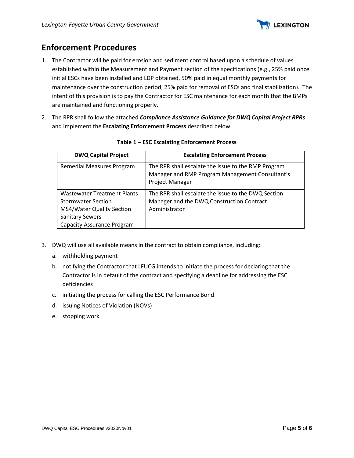

# **Enforcement Procedures**

- 1. The Contractor will be paid for erosion and sediment control based upon a schedule of values established within the Measurement and Payment section of the specifications (e.g., 25% paid once initial ESCs have been installed and LDP obtained, 50% paid in equal monthly payments for maintenance over the construction period, 25% paid for removal of ESCs and final stabilization). The intent of this provision is to pay the Contractor for ESC maintenance for each month that the BMPs are maintained and functioning properly.
- 2. The RPR shall follow the attached *Compliance Assistance Guidance for DWQ Capital Project RPRs* and implement the **Escalating Enforcement Process** described below.

| <b>DWQ Capital Project</b>                                                                                                                                  | <b>Escalating Enforcement Process</b>                                                                                     |  |
|-------------------------------------------------------------------------------------------------------------------------------------------------------------|---------------------------------------------------------------------------------------------------------------------------|--|
| Remedial Measures Program                                                                                                                                   | The RPR shall escalate the issue to the RMP Program<br>Manager and RMP Program Management Consultant's<br>Project Manager |  |
| <b>Wastewater Treatment Plants</b><br><b>Stormwater Section</b><br>MS4/Water Quality Section<br><b>Sanitary Sewers</b><br><b>Capacity Assurance Program</b> | The RPR shall escalate the issue to the DWQ Section<br>Manager and the DWQ Construction Contract<br>Administrator         |  |

### **Table 1 – ESC Escalating Enforcement Process**

- 3. DWQ will use all available means in the contract to obtain compliance, including:
	- a. withholding payment
	- b. notifying the Contractor that LFUCG intends to initiate the process for declaring that the Contractor is in default of the contract and specifying a deadline for addressing the ESC deficiencies
	- c. initiating the process for calling the ESC Performance Bond
	- d. issuing Notices of Violation (NOVs)
	- e. stopping work